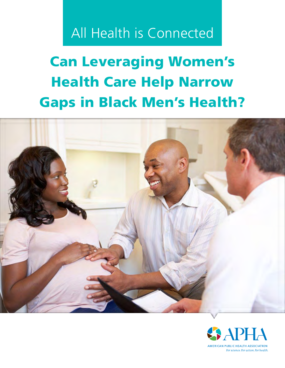# All Health is Connected

# Can Leveraging Women's Health Care Help Narrow Gaps in Black Men's Health?



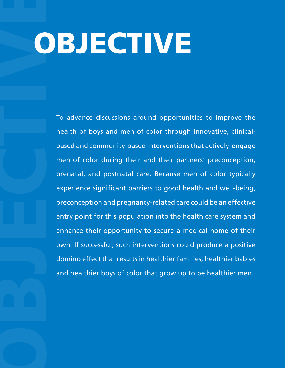# OBJECTIVE

To advance discussions around opportunities to improve the health of boys and men of color through innovative, clinicalbased and community-based interventions that actively engage men of color during their and their partners' preconception, prenatal, and postnatal care. Because men of color typically experience significant barriers to good health and well-being, preconception and pregnancy-related care could be an effective entry point for this population into the health care system and enhance their opportunity to secure a medical home of their own. If successful, such interventions could produce a positive domino effect that results in healthier families, healthier babies and healthier boys of color that grow up to be healthier men.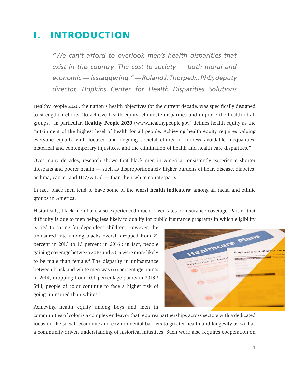# I. INTRODUCTION

*"We can't afford to overlook men's health disparities that exist in this country. The cost to society — both moral and economic — is staggering." — Roland J. Thorpe Jr., PhD, deputy director, Hopkins Center for Health Disparities Solutions*

Healthy People 2020, the nation's health objectives for the current decade, was specifically designed to strengthen efforts "to achieve health equity, eliminate disparities and improve the health of all groups." In particular, **Healthy People 2020** (www.healthypeople.gov) defines health equity as the "attainment of the highest level of health for all people. Achieving health equity requires valuing everyone equally with focused and ongoing societal efforts to address avoidable inequalities, historical and contemporary injustices, and the elimination of health and health care disparities."

Over many decades, research shows that black men in America consistently experience shorter lifespans and poorer health — such as disproportionately higher burdens of heart disease, diabetes, asthma, cancer and  $HIV/AIDS<sup>1</sup>$  — than their white counterparts.

In fact, black men tend to have some of the **worst health indicators**<sup>2</sup> among all racial and ethnic groups in America.

Historically, black men have also experienced much lower rates of insurance coverage. Part of that difficulty is due to men being less likely to qualify for public insurance programs in which eligibility

is tied to caring for dependent children. However, the uninsured rate among blacks overall dropped from 21 percent in 2013 to 13 percent in 2016<sup>3</sup>; in fact, people gaining coverage between 2010 and 2015 were more likely to be male than female.<sup>4</sup> The disparity in uninsurance between black and white men was 6.6 percentage points in 2014, dropping from 10.1 percentage points in 2013.<sup>5</sup> Still, people of color continue to face a higher risk of going uninsured than whites.<sup>6</sup>

Achieving health equity among boys and men in

Healthcare Plans Employee Enrollmont To be Completed by Emple Application for

communities of color is a complex endeavor that requires partnerships across sectors with a dedicated focus on the social, economic and environmental barriers to greater health and longevity as well as a community-driven understanding of historical injustices. Such work also requires cooperation on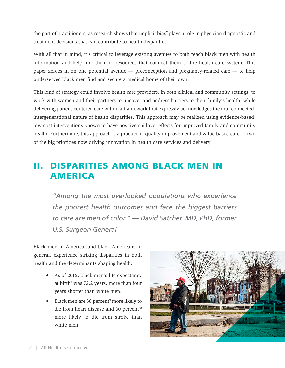the part of practitioners, as research shows that implicit bias<sup>7</sup> plays a role in physician diagnostic and treatment decisions that can contribute to health disparities.

With all that in mind, it's critical to leverage existing avenues to both reach black men with health information and help link them to resources that connect them to the health care system. This paper zeroes in on one potential avenue — preconception and pregnancy-related care — to help underserved black men find and secure a medical home of their own.

This kind of strategy could involve health care providers, in both clinical and community settings, to work with women and their partners to uncover and address barriers to their family's health, while delivering patient-centered care within a framework that expressly acknowledges the interconnected, intergenerational nature of health disparities. This approach may be realized using evidence-based, low-cost interventions known to have positive spillover effects for improved family and community health. Furthermore, this approach is a practice in quality improvement and value-based care — two of the big priorities now driving innovation in health care services and delivery.

# II. DISPARITIES AMONG BLACK MEN IN AMERICA

*"Among the most overlooked populations who experience the poorest health outcomes and face the biggest barriers to care are men of color." — David Satcher, MD, PhD, former U.S. Surgeon General*

Black men in America, and black Americans in general, experience striking disparities in both health and the determinants shaping health:

- As of 2015, black men's life expectancy at birth<sup>8</sup> was 72.2 years, more than four years shorter than white men.
- Black men are 30 percent<sup>9</sup> more likely to die from heart disease and 60 percent<sup>10</sup> more likely to die from stroke than white men.

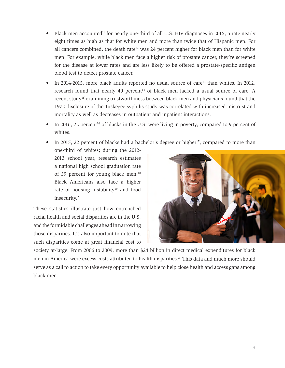- Black men accounted<sup>11</sup> for nearly one-third of all U.S. HIV diagnoses in 2015, a rate nearly eight times as high as that for white men and more than twice that of Hispanic men. For all cancers combined, the death rate<sup>12</sup> was 24 percent higher for black men than for white men. For example, while black men face a higher risk of prostate cancer, they're screened for the disease at lower rates and are less likely to be offered a prostate-specific antigen blood test to detect prostate cancer.
- In 2014-2015, more black adults reported no usual source of care<sup>13</sup> than whites. In 2012, research found that nearly 40 percent<sup>14</sup> of black men lacked a usual source of care. A recent study<sup>15</sup> examining trustworthiness between black men and physicians found that the 1972 disclosure of the Tuskegee syphilis study was correlated with increased mistrust and mortality as well as decreases in outpatient and inpatient interactions.
- In 2016, 22 percent<sup>16</sup> of blacks in the U.S. were living in poverty, compared to 9 percent of whites.
- In 2015, 22 percent of blacks had a bachelor's degree or higher<sup>17</sup>, compared to more than

one-third of whites; during the 2012- 2013 school year, research estimates a national high school graduation rate of 59 percent for young black men.<sup>18</sup> Black Americans also face a higher rate of housing instability<sup>19</sup> and food insecurity. 20

These statistics illustrate just how entrenched racial health and social disparities are in the U.S. and the formidable challenges ahead in narrowing those disparities. It's also important to note that such disparities come at great financial cost to



society at-large: From 2006 to 2009, more than \$24 billion in direct medical expenditures for black men in America were excess costs attributed to health disparities.<sup>21</sup> This data and much more should serve as a call to action to take every opportunity available to help close health and access gaps among black men.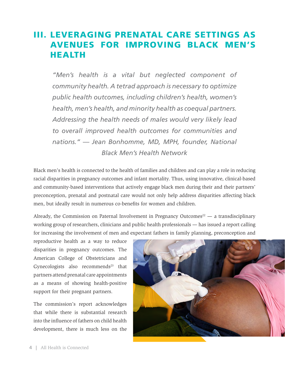# III. LEVERAGING PRENATAL CARE SETTINGS AS AVENUES FOR IMPROVING BLACK MEN'S HEALTH

*"Men's health is a vital but neglected component of community health. A tetrad approach is necessary to optimize public health outcomes, including children's health, women's health, men's health, and minority health as coequal partners. Addressing the health needs of males would very likely lead to overall improved health outcomes for communities and nations." — Jean Bonhomme, MD, MPH, founder, National Black Men's Health Network*

Black men's health is connected to the health of families and children and can play a role in reducing racial disparities in pregnancy outcomes and infant mortality. Thus, using innovative, clinical-based and community-based interventions that actively engage black men during their and their partners' preconception, prenatal and postnatal care would not only help address disparities affecting black men, but ideally result in numerous co-benefits for women and children.

Already, the Commission on Paternal Involvement in Pregnancy Outcomes<sup>22</sup> — a transdisciplinary working group of researchers, clinicians and public health professionals — has issued a report calling for increasing the involvement of men and expectant fathers in family planning, preconception and

reproductive health as a way to reduce disparities in pregnancy outcomes. The American College of Obstetricians and Gynecologists also recommends<sup>23</sup> that partners attend prenatal care appointments as a means of showing health-positive support for their pregnant partners.

The commission's report acknowledges that while there is substantial research into the influence of fathers on child health development, there is much less on the

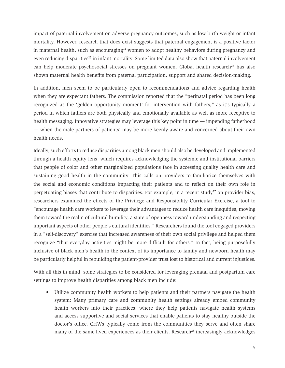impact of paternal involvement on adverse pregnancy outcomes, such as low birth weight or infant mortality. However, research that does exist suggests that paternal engagement is a positive factor in maternal health, such as encouraging<sup>24</sup> women to adopt healthy behaviors during pregnancy and even reducing disparities<sup>25</sup> in infant mortality. Some limited data also show that paternal involvement can help moderate psychosocial stresses on pregnant women. Global health research<sup>26</sup> has also shown maternal health benefits from paternal participation, support and shared decision-making.

In addition, men seem to be particularly open to recommendations and advice regarding health when they are expectant fathers. The commission reported that the "perinatal period has been long recognized as the 'golden opportunity moment' for intervention with fathers," as it's typically a period in which fathers are both physically and emotionally available as well as more receptive to health messaging. Innovative strategies may leverage this key point in time — impending fatherhood — when the male partners of patients' may be more keenly aware and concerned about their own health needs.

Ideally, such efforts to reduce disparities among black men should also be developed and implemented through a health equity lens, which requires acknowledging the systemic and institutional barriers that people of color and other marginalized populations face in accessing quality health care and sustaining good health in the community. This calls on providers to familiarize themselves with the social and economic conditions impacting their patients and to reflect on their own role in perpetuating biases that contribute to disparities. For example, in a recent study<sup>27</sup> on provider bias, researchers examined the effects of the Privilege and Responsibility Curricular Exercise, a tool to "encourage health care workers to leverage their advantages to reduce health care inequities, moving them toward the realm of cultural humility, a state of openness toward understanding and respecting important aspects of other people's cultural identities." Researchers found the tool engaged providers in a "self-discovery" exercise that increased awareness of their own social privilege and helped them recognize "that everyday activities might be more difficult for others." In fact, being purposefully inclusive of black men's health in the context of its importance to family and newborn health may be particularly helpful in rebuilding the patient-provider trust lost to historical and current injustices.

With all this in mind, some strategies to be considered for leveraging prenatal and postpartum care settings to improve health disparities among black men include:

• Utilize community health workers to help patients and their partners navigate the health system: Many primary care and community health settings already embed community health workers into their practices, where they help patients navigate health systems and access supportive and social services that enable patients to stay healthy outside the doctor's office. CHWs typically come from the communities they serve and often share many of the same lived experiences as their clients. Research<sup>28</sup> increasingly acknowledges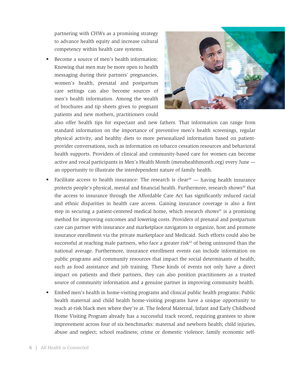partnering with CHWs as a promising strategy to advance health equity and increase cultural competency within health care systems.

Become a source of men's health information: Knowing that men may be more open to health messaging during their partners' pregnancies, women's health, prenatal and postpartum care settings can also become sources of men's health information. Among the wealth of brochures and tip sheets given to pregnant patients and new mothers, practitioners could



also offer health tips for expectant and new fathers. That information can range from standard information on the importance of preventive men's health screenings, regular physical activity, and healthy diets to more personalized information based on patientprovider conversations, such as information on tobacco cessation resources and behavioral health supports. Providers of clinical and community-based care for women can become active and vocal participants in Men's Health Month (menshealthmonth.org) every June an opportunity to illustrate the interdependent nature of family health.

- Facilitate access to health insurance: The research is clear<sup>29</sup> having health insurance protects people's physical, mental and financial health. Furthermore, research shows<sup>30</sup> that the access to insurance through the Affordable Care Act has significantly reduced racial and ethnic disparities in health care access. Gaining insurance coverage is also a first step in securing a patient-centered medical home, which research shows<sup>31</sup> is a promising method for improving outcomes and lowering costs. Providers of prenatal and postpartum care can partner with insurance and marketplace navigators to organize, host and promote insurance enrollment via the private marketplace and Medicaid. Such efforts could also be successful at reaching male partners, who face a greater risk $32$  of being uninsured than the national average. Furthermore, insurance enrollment events can include information on public programs and community resources that impact the social determinants of health, such as food assistance and job training. These kinds of events not only have a direct impact on patients and their partners, they can also position practitioners as a trusted source of community information and a genuine partner in improving community health.
- Embed men's health in home-visiting programs and clinical public health programs: Public health maternal and child health home-visiting programs have a unique opportunity to reach at-risk black men where they're at. The federal Maternal, Infant and Early Childhood Home Visiting Program already has a successful track record, requiring grantees to show improvement across four of six benchmarks: maternal and newborn health; child injuries, abuse and neglect; school readiness; crime or domestic violence; family economic self-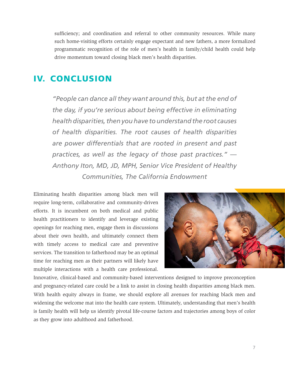sufficiency; and coordination and referral to other community resources. While many such home-visiting efforts certainly engage expectant and new fathers, a more formalized programmatic recognition of the role of men's health in family/child health could help drive momentum toward closing black men's health disparities.

### IV. CONCLUSION

*"People can dance all they want around this, but at the end of the day, if you're serious about being effective in eliminating health disparities, then you have to understand the root causes of health disparities. The root causes of health disparities are power differentials that are rooted in present and past practices, as well as the legacy of those past practices." — Anthony Iton, MD, JD, MPH, Senior Vice President of Healthy Communities, The California Endowment* 

Eliminating health disparities among black men will require long-term, collaborative and community-driven efforts. It is incumbent on both medical and public health practitioners to identify and leverage existing openings for reaching men, engage them in discussions about their own health, and ultimately connect them with timely access to medical care and preventive services. The transition to fatherhood may be an optimal time for reaching men as their partners will likely have multiple interactions with a health care professional.



Innovative, clinical-based and community-based interventions designed to improve preconception and pregnancy-related care could be a link to assist in closing health disparities among black men. With health equity always in frame, we should explore all avenues for reaching black men and widening the welcome mat into the health care system. Ultimately, understanding that men's health is family health will help us identify pivotal life-course factors and trajectories among boys of color as they grow into adulthood and fatherhood.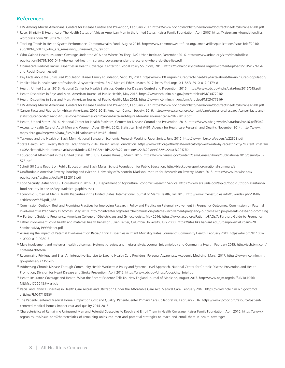#### *References*

- <sup>1</sup> HIV Among African Americans. Centers for Disease Control and Prevention, February 2017. https://www.cdc.gov/nchhstp/newsroom/docs/factsheets/cdc-hiv-aa-508.pdf
- <sup>2</sup> Race, Ethnicity & Health care: The Health Status of African American Men in the United States. Kaiser Family Foundation. April 2007. https://kaiserfamilyfoundation.files. wordpress.com/2013/01/7630.pdf
- <sup>3</sup> Tracking Trends in Health System Performance. Commonwealth Fund, August 2016. http://www.commonwealthfund.org/~/media/files/publications/issue-brief/2016/ aug/1894\_collins\_who\_are\_remaining\_uninsured\_tb\_rev.pdf
- <sup>4</sup> Who Gained Health Insurance Coverage Under the ACA and Where Do They Live? Urban Institute, December 2016. https://www.urban.org/sites/default/files/ publication/86761/2001041-who-gained-health-insurance-coverage-under-the-aca-and-where-do-they-live.pdf
- <sup>5</sup> Obamacare Reduces Racial Disparities in Health Coverage. Center for Global Policy Solutions, 2015. https://globalpolicysolutions.org/wp-content/uploads/2015/12/ACAand-Racial-Disparities.pdf
- <sup>6</sup> Key Facts about the Uninsured Population. Kaiser Family Foundation, Sept. 19, 2017. https://www.kff.org/uninsured/fact-sheet/key-facts-about-the-uninsured-population/
- <sup>7</sup> Implicit bias in healthcare professionals: A systemic review. BMC Medical Ethics, March 2017. https://doi.org/10.1186/s12910-017-0179-8
- 8 Health, United States, 2016. National Center for Health Statistics, Centers for Disease Control and Prevention, 2016. https://www.cdc.gov/nchs/data/hus/2016/015.pdf
- <sup>9</sup> Health Disparities in Boys and Men. American Journal of Public Health, May 2012. https://www.ncbi.nlm.nih.gov/pmc/articles/PMC3477916/
- <sup>10</sup> Health Disparities in Boys and Men. American Journal of Public Health, May 2012. https://www.ncbi.nlm.nih.gov/pmc/articles/PMC3477916/
- <sup>11</sup> HIV Among African Americans. Centers for Disease Control and Prevention, February 2017. https://www.cdc.gov/nchhstp/newsroom/docs/factsheets/cdc-hiv-aa-508.pdf
- <sup>12</sup> Cancer Facts and Figures for African Americans, 2016-2018. American Cancer Society, 2016. https://www.cancer.org/content/dam/cancer-org/research/cancer-facts-andstatistics/cancer-facts-and-figures-for-african-americans/cancer-facts-and-figures-for-african-americans-2016-2018.pdf
- 13 Health, United States, 2016. National Center for Health Statistics, Centers for Disease Control and Prevention, 2016. https://www.cdc.gov/nchs/data/hus/hus16.pdf#062
- 14 Access to Health Care of Adult Men and Women, Ages 18-64, 2012. Statistical Brief #461. Agency for Healthcare Research and Quality, November 2014. http://www. meps.ahrq.gov/mepsweb/data\_files/publications/st461/st461.shtml
- <sup>15</sup> Tuskegee and the Health of Black Men. National Bureau of Economic Research Working Paper Series, June 2016. http://www.nber.org/papers/w22323.pdf
- <sup>16</sup> State Health Fact, Poverty Rate by Race/Ethnicity 2016. Kaiser Family Foundation. https://www.kff.org/other/state-indicator/poverty-rate-by-raceethnicity/?currentTimefram e=0&selectedDistributions=black&sortModel=%7B%22colId%22:%22Location%22,%22sort%22:%22asc%22%7D
- <sup>17</sup> Educational Attainment in the United States: 2015. U.S. Census Bureau, March 2016. https://www.census.gov/content/dam/Census/library/publications/2016/demo/p20- 578.pdf
- <sup>18</sup> Schott 50 State Report on Public Education and Black Males. Schott Foundation for Public Education. http://blackboysreport.org/national-summary/#
- <sup>19</sup> Unaffordable America: Poverty, housing and eviction. University of Wisconsin-Madison Institute for Research on Poverty, March 2015. https://www.irp.wisc.edu/ publications/fastfocus/pdfs/FF22-2015.pdf
- <sup>20</sup> Food Security Status for U.S. Households in 2016. U.S. Department of Agriculture Economic Research Service. https://www.ers.usda.gov/topics/food-nutrition-assistance/ food-security-in-the-us/key-statistics-graphics.aspx
- <sup>21</sup> Economic Burden of Men's Health Disparities in the United States. International Journal of Men's Health, Fall 2013. http://www.mensstudies.info/OJS/index.php/IJMH/ article/view/655/pdf\_186
- <sup>22</sup> Commission Outlook: Best and Promising Practices for Improving Research, Policy and Practice on Paternal Involvement in Pregnancy Outcomes. Commission on Paternal Involvement in Pregnancy Outcomes, May 2010. http://jointcenter.org/research/commission-paternal-involvement-pregnancy-outcomes-cpipo-presents-best-and-promising
- 23 A Partner's Guide to Pregnancy. American College of Obstetricians and Gynecologists, May 2016. https://www.acog.org/Patients/FAQs/A-Partners-Guide-to-Pregnancy <sup>24</sup> Father involvement, child health and maternal health behavior. Julien Teitler, Columbia University, July 2000. https://sites.hks.harvard.edu/urbanpoverty/Urban%20
- Seminars/May1999/tietler.pdf
- <sup>25</sup> Assessing the Impact of Paternal Involvement on Racial/Ethnic Disparities in Infant Mortality Rates. Journal of Community Health, February 2011. https://doi.org/10.1007/ s10900-010-9280-3
- <sup>26</sup> Male involvement and maternal health outcomes: Systematic review and meta-analysis. Journal Epidemiology and Community Health, February 2015. http://jech.bmj.com/ content/69/6/604
- <sup>27</sup> Recognizing Privilege and Bias: An Interactive Exercise to Expand Health Care Providers' Personal Awareness. Academic Medicine, March 2017. https://www.ncbi.nlm.nih. gov/pubmed/27355785
- <sup>28</sup> Addressing Chronic Disease Through Community Health Workers: A Policy and Systems-Level Approach. National Center for Chronic Disease Prevention and Health Promotion, Division for Heart Disease and Stroke Prevention, April 2015. https://www.cdc.gov/dhdsp/docs/chw\_brief.pdf
- <sup>29</sup> Health Insurance Coverage and Health: What the Recent Evidence Tells Us. New England Journal of Medicine, August 2017. http://www.nejm.org/doi/full/10.1056/ NEJMsb1706645#t=article
- 30 Racial and Ethnic Disparities in Health Care Access and Utilization Under the Affordable Care Act. Medical Care, February 2016. https://www.ncbi.nlm.nih.gov/pmc/ articles/PMC4711386/
- 31 The Patient-Centered Medical Home's Impact on Cost and Quality. Patient-Center Primary Care Collaborative, February 2016. https://www.pcpcc.org/resource/patientcentered-medical-homes-impact-cost-and-quality-2014-2015
- 32 Characteristics of Remaining Uninsured Men and Potential Strategies to Reach and Enroll Them in Health Coverage. Kaiser Family Foundation, April 2016. https://www.kff. org/uninsured/issue-brief/characteristics-of-remaining-uninsured-men-and-potential-strategies-to-reach-and-enroll-them-in-health-coverage/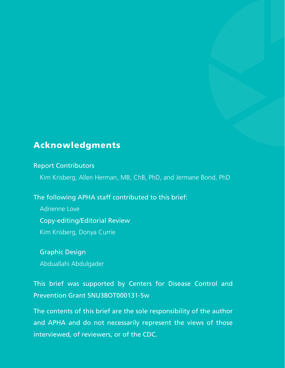## Acknowledgments

#### Report Contributors

Kim Krisberg, Allen Herman, MB, ChB, PhD, and Jermane Bond, PhD

The following APHA staff contributed to this brief:

Adrienne Love

Copy-editing/Editorial Review

Kim Krisberg, Donya Currie

Graphic Design

Abduallahi Abdulgader

# This brief was supported by Centers for Disease Control and Prevention Grant 5NU38OT000131-5w

The contents of this brief are the sole responsibility of the author and APHA and do not necessarily represent the views of those interviewed, of reviewers, or of the CDC.